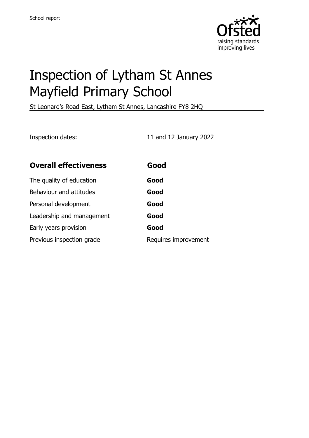

# Inspection of Lytham St Annes Mayfield Primary School

St Leonard's Road East, Lytham St Annes, Lancashire FY8 2HQ

Inspection dates: 11 and 12 January 2022

| <b>Overall effectiveness</b> | Good                 |
|------------------------------|----------------------|
| The quality of education     | Good                 |
| Behaviour and attitudes      | Good                 |
| Personal development         | Good                 |
| Leadership and management    | Good                 |
| Early years provision        | Good                 |
| Previous inspection grade    | Requires improvement |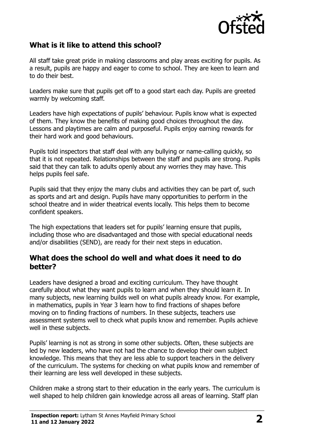

### **What is it like to attend this school?**

All staff take great pride in making classrooms and play areas exciting for pupils. As a result, pupils are happy and eager to come to school. They are keen to learn and to do their best.

Leaders make sure that pupils get off to a good start each day. Pupils are greeted warmly by welcoming staff.

Leaders have high expectations of pupils' behaviour. Pupils know what is expected of them. They know the benefits of making good choices throughout the day. Lessons and playtimes are calm and purposeful. Pupils enjoy earning rewards for their hard work and good behaviours.

Pupils told inspectors that staff deal with any bullying or name-calling quickly, so that it is not repeated. Relationships between the staff and pupils are strong. Pupils said that they can talk to adults openly about any worries they may have. This helps pupils feel safe.

Pupils said that they enjoy the many clubs and activities they can be part of, such as sports and art and design. Pupils have many opportunities to perform in the school theatre and in wider theatrical events locally. This helps them to become confident speakers.

The high expectations that leaders set for pupils' learning ensure that pupils, including those who are disadvantaged and those with special educational needs and/or disabilities (SEND), are ready for their next steps in education.

#### **What does the school do well and what does it need to do better?**

Leaders have designed a broad and exciting curriculum. They have thought carefully about what they want pupils to learn and when they should learn it. In many subjects, new learning builds well on what pupils already know. For example, in mathematics, pupils in Year 3 learn how to find fractions of shapes before moving on to finding fractions of numbers. In these subjects, teachers use assessment systems well to check what pupils know and remember. Pupils achieve well in these subjects.

Pupils' learning is not as strong in some other subjects. Often, these subjects are led by new leaders, who have not had the chance to develop their own subject knowledge. This means that they are less able to support teachers in the delivery of the curriculum. The systems for checking on what pupils know and remember of their learning are less well developed in these subjects.

Children make a strong start to their education in the early years. The curriculum is well shaped to help children gain knowledge across all areas of learning. Staff plan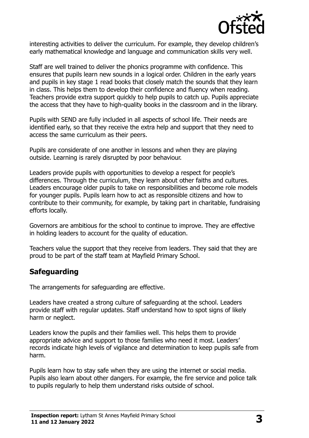

interesting activities to deliver the curriculum. For example, they develop children's early mathematical knowledge and language and communication skills very well.

Staff are well trained to deliver the phonics programme with confidence. This ensures that pupils learn new sounds in a logical order. Children in the early years and pupils in key stage 1 read books that closely match the sounds that they learn in class. This helps them to develop their confidence and fluency when reading. Teachers provide extra support quickly to help pupils to catch up. Pupils appreciate the access that they have to high-quality books in the classroom and in the library.

Pupils with SEND are fully included in all aspects of school life. Their needs are identified early, so that they receive the extra help and support that they need to access the same curriculum as their peers.

Pupils are considerate of one another in lessons and when they are playing outside. Learning is rarely disrupted by poor behaviour.

Leaders provide pupils with opportunities to develop a respect for people's differences. Through the curriculum, they learn about other faiths and cultures. Leaders encourage older pupils to take on responsibilities and become role models for younger pupils. Pupils learn how to act as responsible citizens and how to contribute to their community, for example, by taking part in charitable, fundraising efforts locally.

Governors are ambitious for the school to continue to improve. They are effective in holding leaders to account for the quality of education.

Teachers value the support that they receive from leaders. They said that they are proud to be part of the staff team at Mayfield Primary School.

#### **Safeguarding**

The arrangements for safeguarding are effective.

Leaders have created a strong culture of safeguarding at the school. Leaders provide staff with regular updates. Staff understand how to spot signs of likely harm or neglect.

Leaders know the pupils and their families well. This helps them to provide appropriate advice and support to those families who need it most. Leaders' records indicate high levels of vigilance and determination to keep pupils safe from harm.

Pupils learn how to stay safe when they are using the internet or social media. Pupils also learn about other dangers. For example, the fire service and police talk to pupils regularly to help them understand risks outside of school.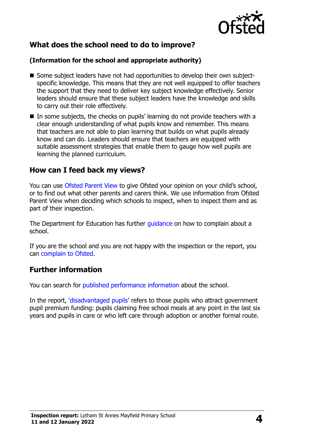

# **What does the school need to do to improve?**

#### **(Information for the school and appropriate authority)**

- Some subject leaders have not had opportunities to develop their own subjectspecific knowledge. This means that they are not well equipped to offer teachers the support that they need to deliver key subject knowledge effectively. Senior leaders should ensure that these subject leaders have the knowledge and skills to carry out their role effectively.
- $\blacksquare$  In some subjects, the checks on pupils' learning do not provide teachers with a clear enough understanding of what pupils know and remember. This means that teachers are not able to plan learning that builds on what pupils already know and can do. Leaders should ensure that teachers are equipped with suitable assessment strategies that enable them to gauge how well pupils are learning the planned curriculum.

#### **How can I feed back my views?**

You can use [Ofsted Parent View](http://parentview.ofsted.gov.uk/) to give Ofsted your opinion on your child's school, or to find out what other parents and carers think. We use information from Ofsted Parent View when deciding which schools to inspect, when to inspect them and as part of their inspection.

The Department for Education has further quidance on how to complain about a school.

If you are the school and you are not happy with the inspection or the report, you can [complain to Ofsted.](http://www.gov.uk/complain-ofsted-report)

#### **Further information**

You can search for [published performance information](http://www.compare-school-performance.service.gov.uk/) about the school.

In the report, '[disadvantaged pupils](http://www.gov.uk/guidance/pupil-premium-information-for-schools-and-alternative-provision-settings)' refers to those pupils who attract government pupil premium funding: pupils claiming free school meals at any point in the last six years and pupils in care or who left care through adoption or another formal route.

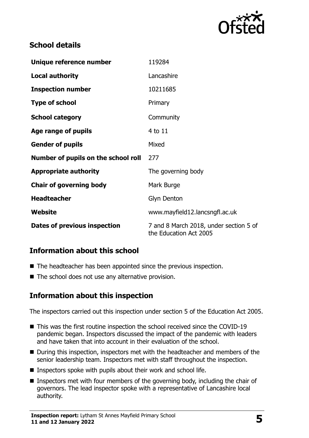

# **School details**

| Unique reference number             | 119284                                                           |  |
|-------------------------------------|------------------------------------------------------------------|--|
| <b>Local authority</b>              | Lancashire                                                       |  |
| <b>Inspection number</b>            | 10211685                                                         |  |
| <b>Type of school</b>               | Primary                                                          |  |
| <b>School category</b>              | Community                                                        |  |
| Age range of pupils                 | 4 to 11                                                          |  |
| <b>Gender of pupils</b>             | Mixed                                                            |  |
| Number of pupils on the school roll | 277                                                              |  |
| <b>Appropriate authority</b>        | The governing body                                               |  |
| <b>Chair of governing body</b>      | Mark Burge                                                       |  |
| <b>Headteacher</b>                  | Glyn Denton                                                      |  |
| Website                             | www.mayfield12.lancsngfl.ac.uk                                   |  |
| Dates of previous inspection        | 7 and 8 March 2018, under section 5 of<br>the Education Act 2005 |  |

# **Information about this school**

- The headteacher has been appointed since the previous inspection.
- $\blacksquare$  The school does not use any alternative provision.

#### **Information about this inspection**

The inspectors carried out this inspection under section 5 of the Education Act 2005.

- This was the first routine inspection the school received since the COVID-19 pandemic began. Inspectors discussed the impact of the pandemic with leaders and have taken that into account in their evaluation of the school.
- During this inspection, inspectors met with the headteacher and members of the senior leadership team. Inspectors met with staff throughout the inspection.
- Inspectors spoke with pupils about their work and school life.
- Inspectors met with four members of the governing body, including the chair of governors. The lead inspector spoke with a representative of Lancashire local authority.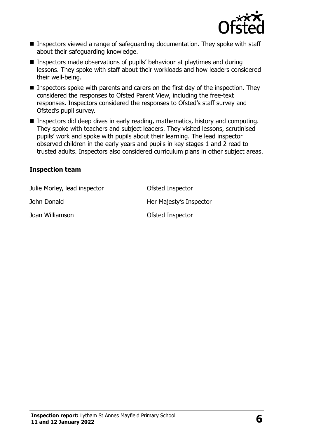

- Inspectors viewed a range of safeguarding documentation. They spoke with staff about their safeguarding knowledge.
- Inspectors made observations of pupils' behaviour at playtimes and during lessons. They spoke with staff about their workloads and how leaders considered their well-being.
- Inspectors spoke with parents and carers on the first day of the inspection. They considered the responses to Ofsted Parent View, including the free-text responses. Inspectors considered the responses to Ofsted's staff survey and Ofsted's pupil survey.
- **Inspectors did deep dives in early reading, mathematics, history and computing.** They spoke with teachers and subject leaders. They visited lessons, scrutinised pupils' work and spoke with pupils about their learning. The lead inspector observed children in the early years and pupils in key stages 1 and 2 read to trusted adults. Inspectors also considered curriculum plans in other subject areas.

#### **Inspection team**

| Julie Morley, lead inspector | Ofsted Inspector        |
|------------------------------|-------------------------|
| John Donald                  | Her Majesty's Inspector |
| Joan Williamson              | Ofsted Inspector        |